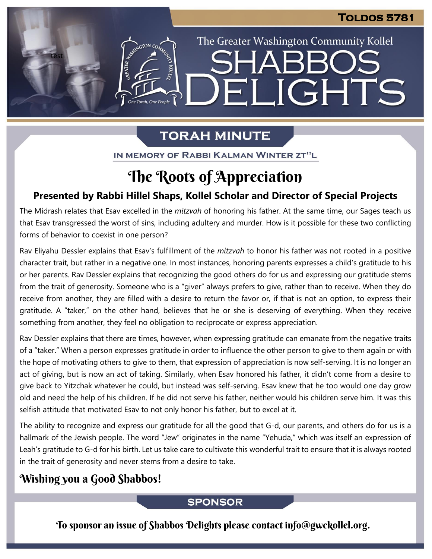The Greater Washington Community Kollel

ELIGHTS

# **TORAH MINUTE**

IN MEMORY OF RABBI KALMAN WINTER ZT"L

# The Roots of Appreciation

## **Presented by Rabbi Hillel Shaps, Kollel Scholar and Director of Special Projects**

The Midrash relates that Esav excelled in the *mitzvah* of honoring his father. At the same time, our Sages teach us that Esav transgressed the worst of sins, including adultery and murder. How is it possible for these two conflicting forms of behavior to coexist in one person?

Rav Eliyahu Dessler explains that Esav's fulfillment of the *mitzvah* to honor his father was not rooted in a positive character trait, but rather in a negative one. In most instances, honoring parents expresses a child's gratitude to his or her parents. Rav Dessler explains that recognizing the good others do for us and expressing our gratitude stems from the trait of generosity. Someone who is a "giver" always prefers to give, rather than to receive. When they do receive from another, they are filled with a desire to return the favor or, if that is not an option, to express their gratitude. A "taker," on the other hand, believes that he or she is deserving of everything. When they receive something from another, they feel no obligation to reciprocate or express appreciation.

Rav Dessler explains that there are times, however, when expressing gratitude can emanate from the negative traits of a "taker." When a person expresses gratitude in order to influence the other person to give to them again or with the hope of motivating others to give to them, that expression of appreciation is now self-serving. It is no longer an act of giving, but is now an act of taking. Similarly, when Esav honored his father, it didn't come from a desire to give back to Yitzchak whatever he could, but instead was self-serving. Esav knew that he too would one day grow old and need the help of his children. If he did not serve his father, neither would his children serve him. It was this selfish attitude that motivated Esav to not only honor his father, but to excel at it.

The ability to recognize and express our gratitude for all the good that G-d, our parents, and others do for us is a hallmark of the Jewish people. The word "Jew" originates in the name "Yehuda," which was itself an expression of Leah's gratitude to G-d for his birth. Let us take care to cultivate this wonderful trait to ensure that it is always rooted in the trait of generosity and never stems from a desire to take.

# Wishing you a Good Shabbos!

test

EMERGION CON

One Torah, One People

## **SPONSOR**

To sponsor an issue of Shabbos Delights please contact info@gwckollel.org.